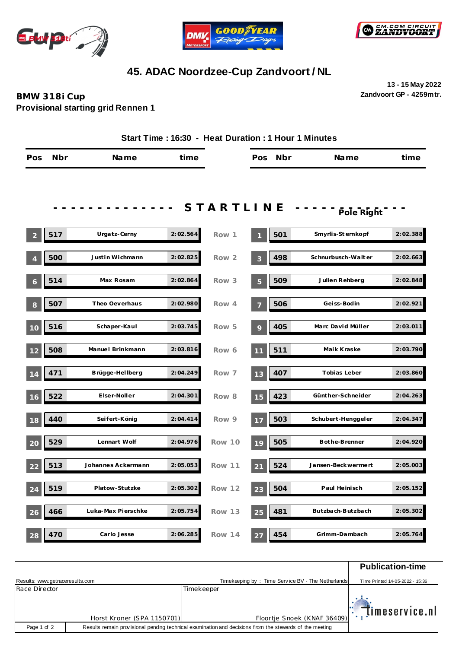





## **45. ADAC Noordzee-Cup Zandvoort / NL**

**13 - 15 May 2022 Zandvoort GP - 4259mtr.**

## **BMW 318i Cup Provisional starting grid Rennen 1**

| Start Time: 16:30 - Heat Duration: 1 Hour 1 Minutes |     |                    |          |               |                |     |                     |          |
|-----------------------------------------------------|-----|--------------------|----------|---------------|----------------|-----|---------------------|----------|
| Pos                                                 | Nbr | Name               | time     |               | Pos            | Nbr | Name                | time     |
|                                                     |     |                    |          |               |                |     |                     |          |
|                                                     |     |                    |          | STARTLINE     |                |     | Pole Right          |          |
| $\overline{c}$                                      | 517 | Urgatz-Cerny       | 2:02.564 | Row 1         |                | 501 | Smyrlis-St ernkopf  | 2:02.388 |
|                                                     | 500 | Just in Wichmann   | 2:02.825 | Row 2         | 3              | 498 | Schnurbusch-Walter  | 2:02.663 |
| 6                                                   | 514 | Max Rosam          | 2:02.864 | Row 3         | $\overline{5}$ | 509 | Julien Rehberg      | 2:02.848 |
| 8                                                   | 507 | Theo Oeverhaus     | 2:02.980 | Row 4         |                | 506 | Geiss-Bodin         | 2:02.921 |
| 10                                                  | 516 | Schaper-Kaul       | 2:03.745 | Row 5         | 9              | 405 | Marc David Müller   | 2:03.011 |
| 12                                                  | 508 | Manuel Brinkmann   | 2:03.816 | Row 6         | 11             | 511 | Maik Kraske         | 2:03.790 |
| 14                                                  | 471 | Brügge-Hellberg    | 2:04.249 | Row 7         | 13             | 407 | Tobias Leber        | 2:03.860 |
| 16                                                  | 522 | Elser-Noller       | 2:04.301 | Row 8         | 15             | 423 | Günther-Schneider   | 2:04.263 |
| 18                                                  | 440 | Seifert-König      | 2:04.414 | Row 9         | 17             | 503 | Schubert-Henggeler  | 2:04.347 |
| 20                                                  | 529 | Lennart Wolf       | 2:04.976 | Row 10        | 19             | 505 | Bothe-Brenner       | 2:04.920 |
| 22                                                  | 513 | Johannes Ackermann | 2:05.053 | Row 11        | 21             | 524 | Jansen-Beckwermert  | 2:05.003 |
| 24                                                  | 519 | Platow-Stutzke     | 2:05.302 | Row 12        | 23             | 504 | Paul Heinisch       | 2:05.152 |
| 26                                                  | 466 | Luka-Max Pierschke | 2:05.754 | Row 13        | 25             | 481 | But zbach-But zbach | 2:05.302 |
| 28                                                  | 470 | Carlo Jesse        | 2:06.285 | <b>Row 14</b> | 27             | 454 | Grimm-Dambach       | 2:05.764 |

|                                 |                                                                                                         |            |                                                   | <b>Publication-time</b>         |
|---------------------------------|---------------------------------------------------------------------------------------------------------|------------|---------------------------------------------------|---------------------------------|
| Results: www.getraceresults.com |                                                                                                         |            | Timekeeping by: Time Service BV - The Netherlands | Time Printed 14-05-2022 - 15:36 |
| Race Director                   |                                                                                                         | Timekeeper |                                                   |                                 |
|                                 |                                                                                                         |            |                                                   | $\mathbb{R}$ timeservice.nl     |
|                                 | Horst Kroner (SPA 1150701)                                                                              |            | Floortje Snoek (KNAF 36409)                       |                                 |
| Page 1 of 2                     | Results remain provisional pending technical examination and decisions from the stewards of the meeting |            |                                                   |                                 |